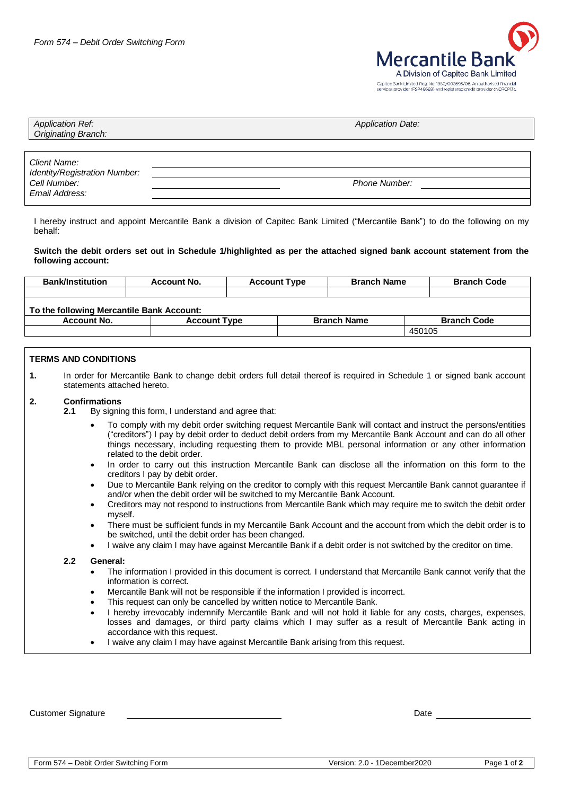

| <b>Application Ref:</b><br>Originating Branch: | <b>Application Date:</b> |
|------------------------------------------------|--------------------------|
|                                                |                          |
| Client Name:                                   |                          |
| Identity/Registration Number:                  |                          |
| Cell Number:                                   | <b>Phone Number:</b>     |
| Email Address:                                 |                          |

I hereby instruct and appoint Mercantile Bank a division of Capitec Bank Limited ("Mercantile Bank") to do the following on my behalf:

### **Switch the debit orders set out in Schedule 1/highlighted as per the attached signed bank account statement from the following account:**

| <b>Bank/Institution</b>                   | <b>Account No.</b>  | <b>Account Type</b> | <b>Branch Name</b> | <b>Branch Code</b> |  |  |  |
|-------------------------------------------|---------------------|---------------------|--------------------|--------------------|--|--|--|
|                                           |                     |                     |                    |                    |  |  |  |
| To the following Mercantile Bank Account: |                     |                     |                    |                    |  |  |  |
| Account No.                               | <b>Account Type</b> |                     | <b>Branch Name</b> | <b>Branch Code</b> |  |  |  |
|                                           |                     |                     | 450105             |                    |  |  |  |

## **TERMS AND CONDITIONS**

**1.** In order for Mercantile Bank to change debit orders full detail thereof is required in Schedule 1 or signed bank account statements attached hereto.

#### **2. Confirmations**

- **2.1** By signing this form, I understand and agree that:
	- To comply with my debit order switching request Mercantile Bank will contact and instruct the persons/entities ("creditors") I pay by debit order to deduct debit orders from my Mercantile Bank Account and can do all other things necessary, including requesting them to provide MBL personal information or any other information related to the debit order.
	- In order to carry out this instruction Mercantile Bank can disclose all the information on this form to the creditors I pay by debit order.
	- Due to Mercantile Bank relying on the creditor to comply with this request Mercantile Bank cannot guarantee if and/or when the debit order will be switched to my Mercantile Bank Account.
	- Creditors may not respond to instructions from Mercantile Bank which may require me to switch the debit order myself.
	- There must be sufficient funds in my Mercantile Bank Account and the account from which the debit order is to be switched, until the debit order has been changed.
	- I waive any claim I may have against Mercantile Bank if a debit order is not switched by the creditor on time.

#### **2.2 General:**

- The information I provided in this document is correct. I understand that Mercantile Bank cannot verify that the information is correct.
- Mercantile Bank will not be responsible if the information I provided is incorrect.
- This request can only be cancelled by written notice to Mercantile Bank.
- I hereby irrevocably indemnify Mercantile Bank and will not hold it liable for any costs, charges, expenses, losses and damages, or third party claims which I may suffer as a result of Mercantile Bank acting in accordance with this request.
- I waive any claim I may have against Mercantile Bank arising from this request.

Customer Signature Date